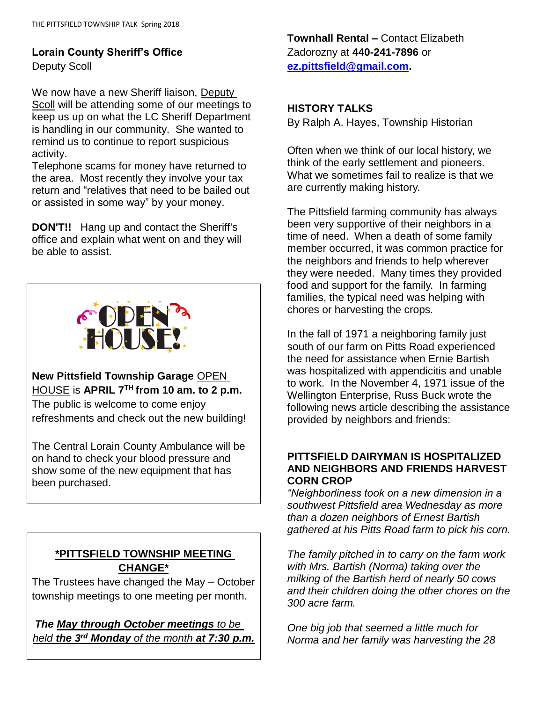# **Lorain County Sheriff's Office**

Deputy Scoll

We now have a new Sheriff liaison, Deputy Scoll will be attending some of our meetings to keep us up on what the LC Sheriff Department is handling in our community. She wanted to remind us to continue to report suspicious activity.

Telephone scams for money have returned to the area. Most recently they involve your tax return and "relatives that need to be bailed out or assisted in some way" by your money.

**DON'T!!** Hang up and contact the Sheriff's office and explain what went on and they will be able to assist.



**New Pittsfield Township Garage** OPEN HOUSE is **APRIL 7TH from 10 am. to 2 p.m.** The public is welcome to come enjoy refreshments and check out the new building!

The Central Lorain County Ambulance will be on hand to check your blood pressure and show some of the new equipment that has been purchased.

# **\*PITTSFIELD TOWNSHIP MEETING CHANGE\***

The Trustees have changed the May – October township meetings to one meeting per month.

*The May through October meetings to be held the 3rd Monday of the month at 7:30 p.m.* **Townhall Rental –** Contact Elizabeth Zadorozny at **440-241-7896** or **[ez.pittsfield@gmail.com.](mailto:ez.pittsfield@gmail.com)**

## **HISTORY TALKS**

By Ralph A. Hayes, Township Historian

Often when we think of our local history, we think of the early settlement and pioneers. What we sometimes fail to realize is that we are currently making history.

The Pittsfield farming community has always been very supportive of their neighbors in a time of need. When a death of some family member occurred, it was common practice for the neighbors and friends to help wherever they were needed. Many times they provided food and support for the family. In farming families, the typical need was helping with chores or harvesting the crops.

In the fall of 1971 a neighboring family just south of our farm on Pitts Road experienced the need for assistance when Ernie Bartish was hospitalized with appendicitis and unable to work. In the November 4, 1971 issue of the Wellington Enterprise, Russ Buck wrote the following news article describing the assistance provided by neighbors and friends:

#### **PITTSFIELD DAIRYMAN IS HOSPITALIZED AND NEIGHBORS AND FRIENDS HARVEST CORN CROP**

*"Neighborliness took on a new dimension in a southwest Pittsfield area Wednesday as more than a dozen neighbors of Ernest Bartish gathered at his Pitts Road farm to pick his corn.*

*The family pitched in to carry on the farm work with Mrs. Bartish (Norma) taking over the milking of the Bartish herd of nearly 50 cows and their children doing the other chores on the 300 acre farm.*

*One big job that seemed a little much for Norma and her family was harvesting the 28*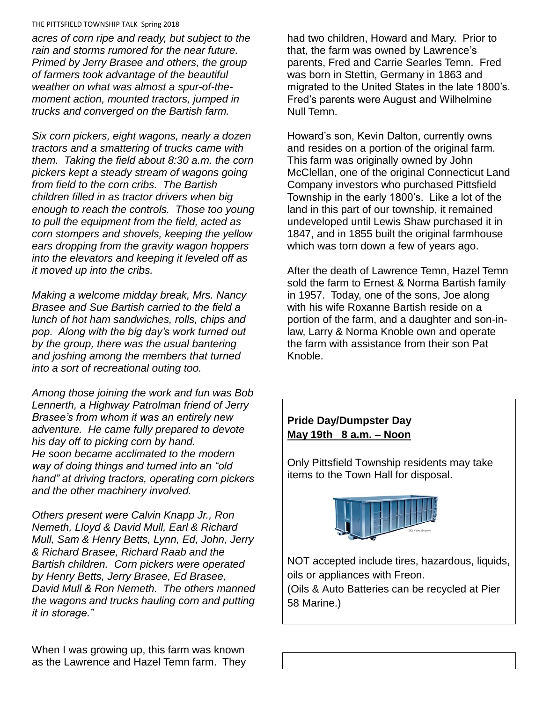#### THE PITTSFIELD TOWNSHIP TALK Spring 2018

*acres of corn ripe and ready, but subject to the rain and storms rumored for the near future. Primed by Jerry Brasee and others, the group of farmers took advantage of the beautiful weather on what was almost a spur-of-themoment action, mounted tractors, jumped in trucks and converged on the Bartish farm.*

*Six corn pickers, eight wagons, nearly a dozen tractors and a smattering of trucks came with them. Taking the field about 8:30 a.m. the corn pickers kept a steady stream of wagons going from field to the corn cribs. The Bartish children filled in as tractor drivers when big enough to reach the controls. Those too young to pull the equipment from the field, acted as corn stompers and shovels, keeping the yellow ears dropping from the gravity wagon hoppers into the elevators and keeping it leveled off as it moved up into the cribs.*

*Making a welcome midday break, Mrs. Nancy Brasee and Sue Bartish carried to the field a lunch of hot ham sandwiches, rolls, chips and pop. Along with the big day's work turned out by the group, there was the usual bantering and joshing among the members that turned into a sort of recreational outing too.*

*Among those joining the work and fun was Bob Lennerth, a Highway Patrolman friend of Jerry Brasee's from whom it was an entirely new adventure. He came fully prepared to devote his day off to picking corn by hand. He soon became acclimated to the modern way of doing things and turned into an "old hand" at driving tractors, operating corn pickers and the other machinery involved.*

*Others present were Calvin Knapp Jr., Ron Nemeth, Lloyd & David Mull, Earl & Richard Mull, Sam & Henry Betts, Lynn, Ed, John, Jerry & Richard Brasee, Richard Raab and the Bartish children. Corn pickers were operated by Henry Betts, Jerry Brasee, Ed Brasee, David Mull & Ron Nemeth. The others manned the wagons and trucks hauling corn and putting it in storage."*

When I was growing up, this farm was known as the Lawrence and Hazel Temn farm. They had two children, Howard and Mary. Prior to that, the farm was owned by Lawrence's parents, Fred and Carrie Searles Temn. Fred was born in Stettin, Germany in 1863 and migrated to the United States in the late 1800's. Fred's parents were August and Wilhelmine Null Temn.

Howard's son, Kevin Dalton, currently owns and resides on a portion of the original farm. This farm was originally owned by John McClellan, one of the original Connecticut Land Company investors who purchased Pittsfield Township in the early 1800's. Like a lot of the land in this part of our township, it remained undeveloped until Lewis Shaw purchased it in 1847, and in 1855 built the original farmhouse which was torn down a few of years ago.

After the death of Lawrence Temn, Hazel Temn sold the farm to Ernest & Norma Bartish family in 1957. Today, one of the sons, Joe along with his wife Roxanne Bartish reside on a portion of the farm, and a daughter and son-inlaw, Larry & Norma Knoble own and operate the farm with assistance from their son Pat Knoble.

# **Pride Day/Dumpster Day May 19th 8 a.m. – Noon**

Only Pittsfield Township residents may take items to the Town Hall for disposal.



NOT accepted include tires, hazardous, liquids, oils or appliances with Freon.

(Oils & Auto Batteries can be recycled at Pier 58 Marine.)